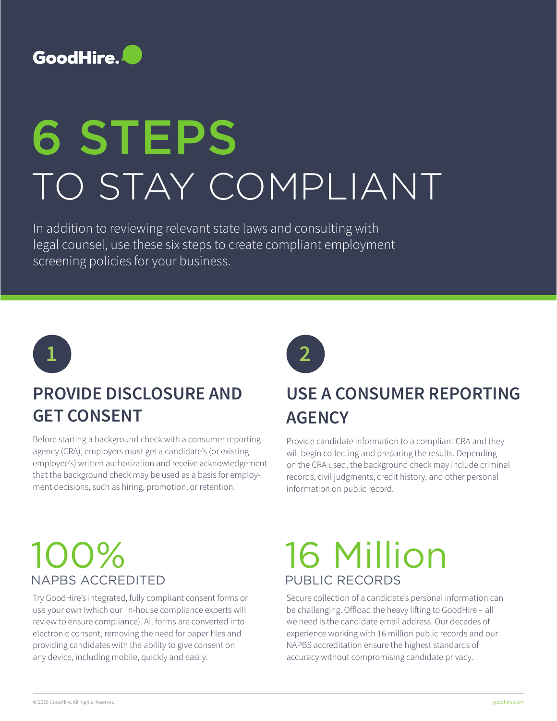

# 6 STEPS TO STAY COMPLIANT

In addition to reviewing relevant state laws and consulting with legal counsel, use these six steps to create compliant employment screening policies for your business.



#### **PROVIDE DISCLOSURE AND GET CONSENT**

Before starting a background check with a consumer reporting agency (CRA), employers must get a candidate's (or existing employee's) written authorization and receive acknowledgement that the background check may be used as a basis for employment decisions, such as hiring, promotion, or retention.

#### **USE A CONSUMER REPORTING AGENCY**

Provide candidate information to a compliant CRA and they will begin collecting and preparing the results. Depending on the CRA used, the background check may include criminal records, civil judgments, credit history, and other personal information on public record.

## 100% NAPBS ACCREDITED

Try GoodHire's integrated, fully compliant consent forms or use your own (which our in-house compliance experts will review to ensure compliance). All forms are converted into electronic consent, removing the need for paper files and providing candidates with the ability to give consent on any device, including mobile, quickly and easily.

## 16 Million PUBLIC RECORDS

Secure collection of a candidate's personal information can be challenging. Offload the heavy lifting to GoodHire – all we need is the candidate email address. Our decades of experience working with 16 million public records and our NAPBS accreditation ensure the highest standards of accuracy without compromising candidate privacy.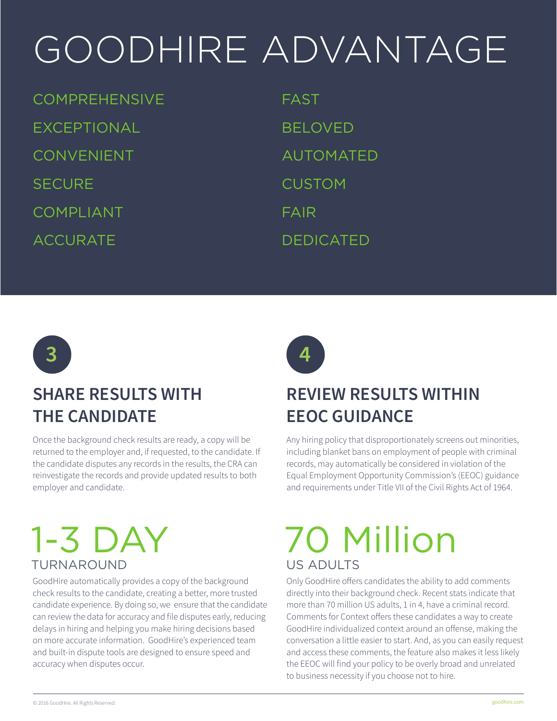## GOODHIRE ADVANTAGE

**COMPREHENSIVE** EXCEPTIONAL CONVENIENT **SECURE** COMPLIANT ACCURATE

FAST BELOVED AUTOMATED CUSTOM FAIR DEDICATED



#### **SHARE RESULTS WITH THE CANDIDATE**

Once the background check results are ready, a copy will be returned to the employer and, if requested, to the candidate. If the candidate disputes any records in the results, the CRA can reinvestigate the records and provide updated results to both employer and candidate.

## 1-3 DAY TURNAROUND

GoodHire automatically provides a copy of the background check results to the candidate, creating a better, more trusted candidate experience. By doing so, we ensure that the candidate can review the data for accuracy and file disputes early, reducing delays in hiring and helping you make hiring decisions based on more accurate information. GoodHire's experienced team and built-in dispute tools are designed to ensure speed and accuracy when disputes occur.



#### **REVIEW RESULTS WITHIN EEOC GUIDANCE**

Any hiring policy that disproportionately screens out minorities, including blanket bans on employment of people with criminal records, may automatically be considered in violation of the Equal Employment Opportunity Commission's (EEOC) guidance and requirements under Title VII of the Civil Rights Act of 1964.

## 70 Million US ADULTS

Only GoodHire offers candidates the ability to add comments directly into their background check. Recent stats indicate that more than 70 million US adults, 1 in 4, have a criminal record. Comments for Context offers these candidates a way to create GoodHire individualized context around an offense, making the conversation a little easier to start. And, as you can easily request and access these comments, the feature also makes it less likely the EEOC will find your policy to be overly broad and unrelated to business necessity if you choose not to hire.